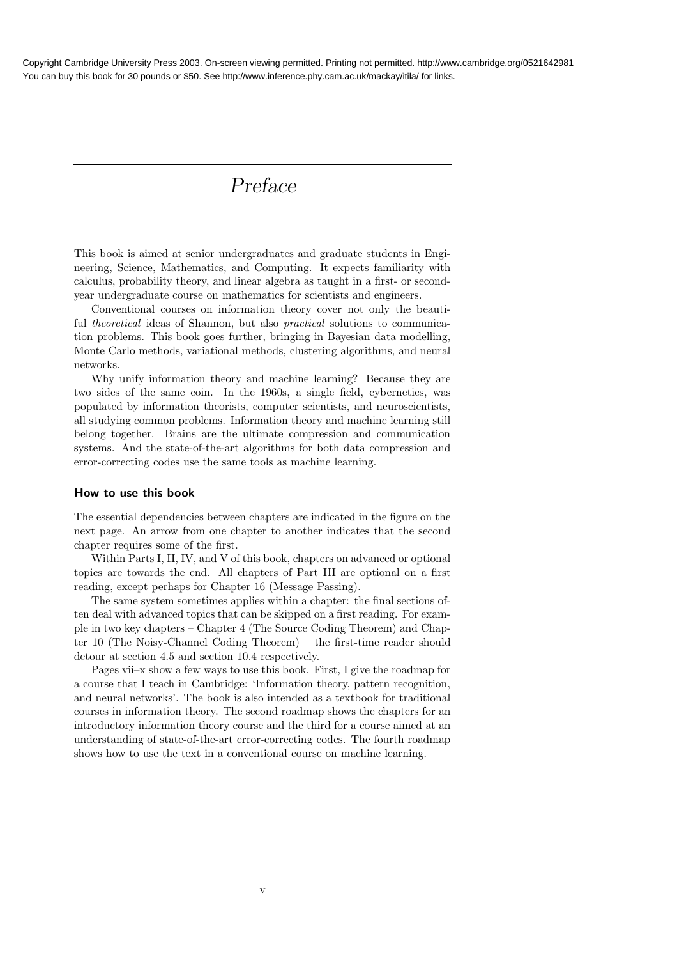# Preface

This book is aimed at senior undergraduates and graduate students in Engineering, Science, Mathematics, and Computing. It expects familiarity with calculus, probability theory, and linear algebra as taught in a first- or secondyear undergraduate course on mathematics for scientists and engineers.

Conventional courses on information theory cover not only the beautiful *theoretical* ideas of Shannon, but also *practical* solutions to communication problems. This book goes further, bringing in Bayesian data modelling, Monte Carlo methods, variational methods, clustering algorithms, and neural networks.

Why unify information theory and machine learning? Because they are two sides of the same coin. In the 1960s, a single field, cybernetics, was populated by information theorists, computer scientists, and neuroscientists, all studying common problems. Information theory and machine learning still belong together. Brains are the ultimate compression and communication systems. And the state-of-the-art algorithms for both data compression and error-correcting codes use the same tools as machine learning.

#### How to use this book

The essential dependencies between chapters are indicated in the figure on the next page. An arrow from one chapter to another indicates that the second chapter requires some of the first.

Within Parts I, II, IV, and V of this book, chapters on advanced or optional topics are towards the end. All chapters of Part III are optional on a first reading, except perhaps for Chapter 16 (Message Passing).

The same system sometimes applies within a chapter: the final sections often deal with advanced topics that can be skipped on a first reading. For example in two key chapters – Chapter 4 (The Source Coding Theorem) and Chapter 10 (The Noisy-Channel Coding Theorem) – the first-time reader should detour at section 4.5 and section 10.4 respectively.

Pages vii–x show a few ways to use this book. First, I give the roadmap for a course that I teach in Cambridge: 'Information theory, pattern recognition, and neural networks'. The book is also intended as a textbook for traditional courses in information theory. The second roadmap shows the chapters for an introductory information theory course and the third for a course aimed at an understanding of state-of-the-art error-correcting codes. The fourth roadmap shows how to use the text in a conventional course on machine learning.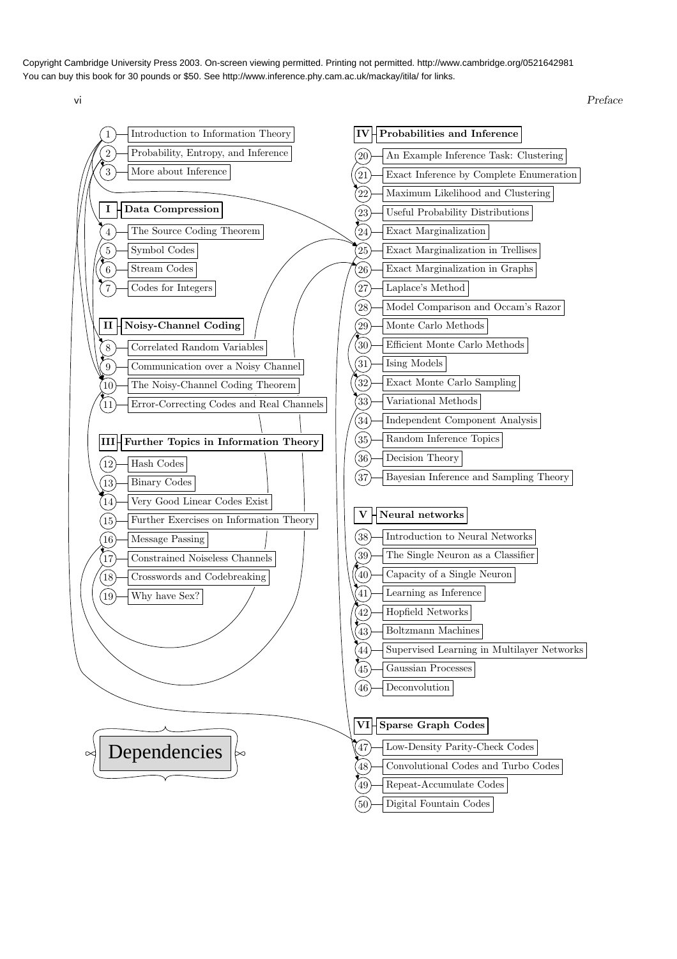vi Preface



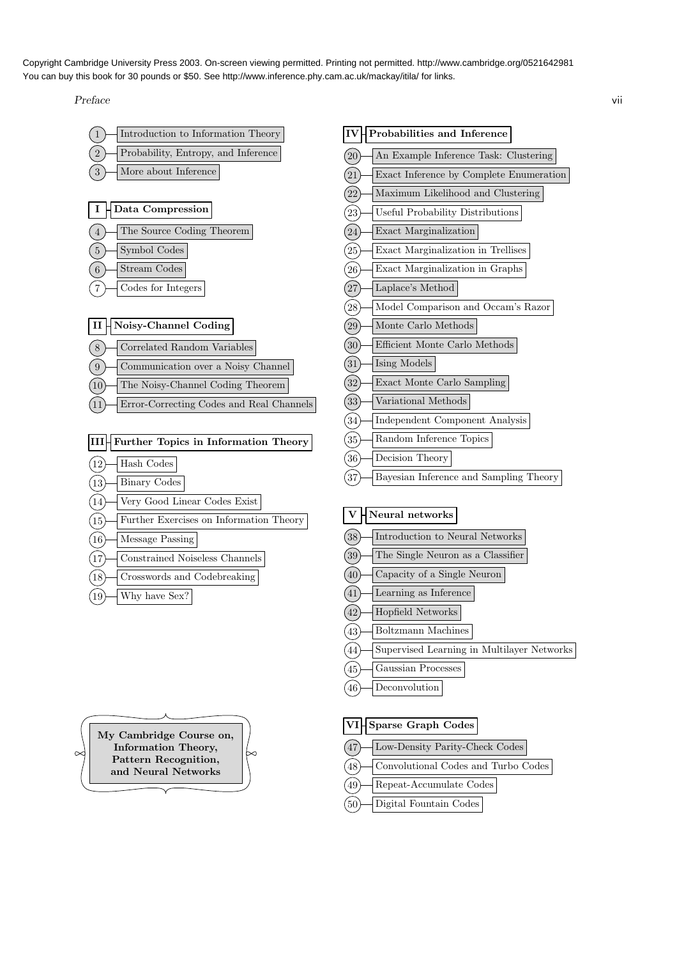Preface viii vii and the contract of the contract of the contract of the contract of the contract of the contract of the contract of the contract of the contract of the contract of the contract of the contract of the contr



My Cambridge Course on, Information Theory, Pattern Recognition, and Neural Networks



## $V$  | Neural networks

- Introduction to Neural Networks
- $(39)$  The Single Neuron as a Classifier
- Capacity of a Single Neuron
- Learning as Inference
- 42 Hopfield Networks
- 43 Boltzmann Machines
- 44 Supervised Learning in Multilayer Networks
- 45 Gaussian Processes
- Deconvolution

## VIH Sparse Graph Codes

- Low-Density Parity-Check Codes
- Convolutional Codes and Turbo Codes
- Repeat-Accumulate Codes
- Digital Fountain Codes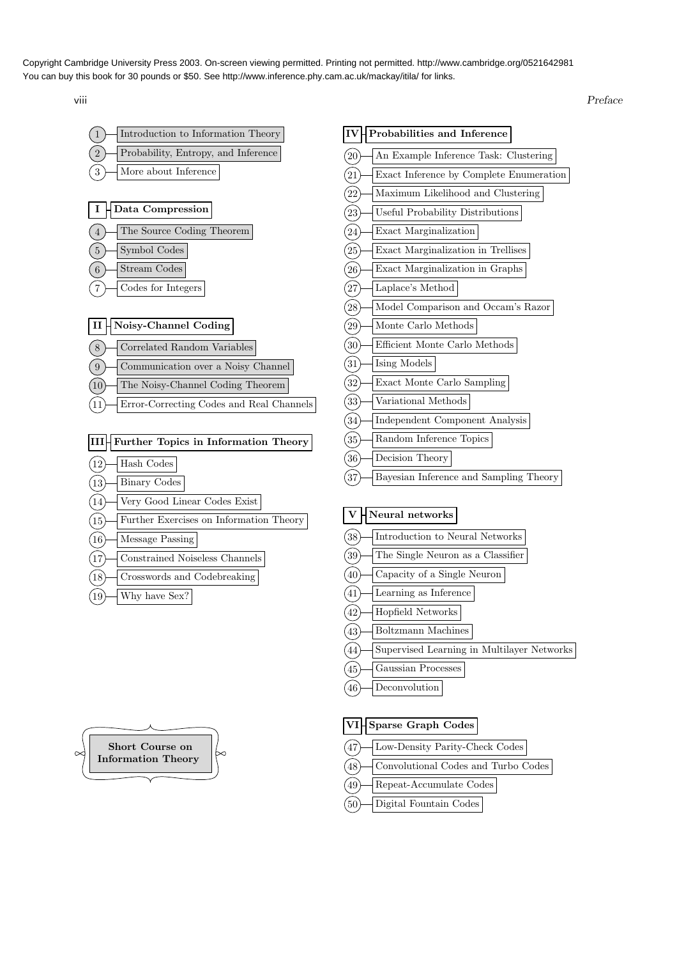





### $V$  | Neural networks

- (38) Introduction to Neural Networks
- $(39)$  The Single Neuron as a Classifier
- $(40)$  Capacity of a Single Neuron
- $(41)$  Learning as Inference
- $(42)$  Hopfield Networks
- 43 Boltzmann Machines
- 44 Supervised Learning in Multilayer Networks
- 45 Gaussian Processes
- Deconvolution

#### VIH Sparse Graph Codes

- Low-Density Parity-Check Codes
- Convolutional Codes and Turbo Codes
- Repeat-Accumulate Codes
- Digital Fountain Codes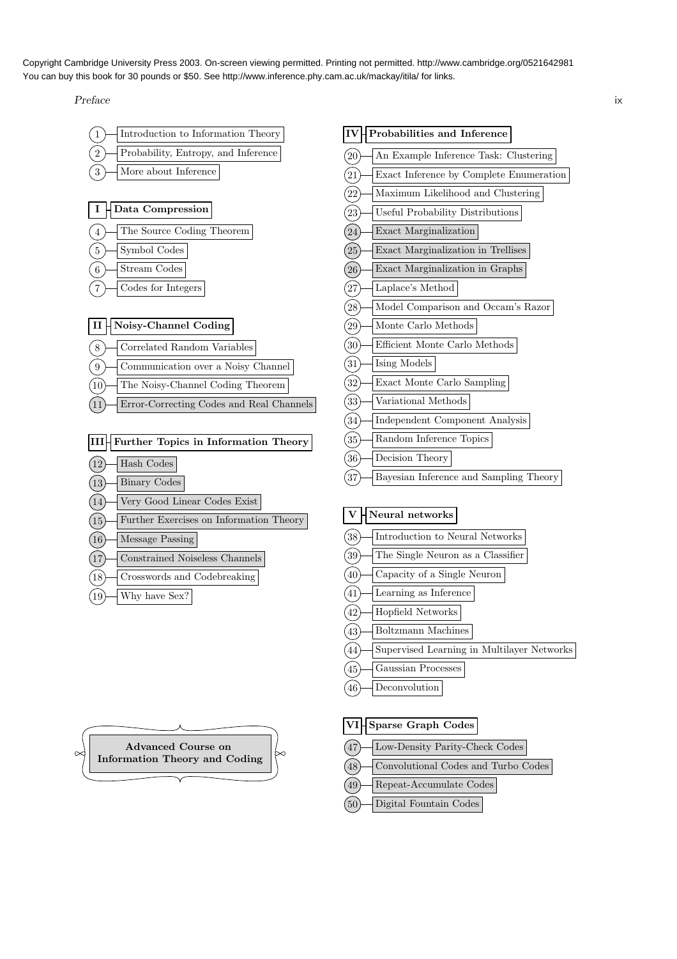Preface ix



- Repeat-Accumulate Codes
- Digital Fountain Codes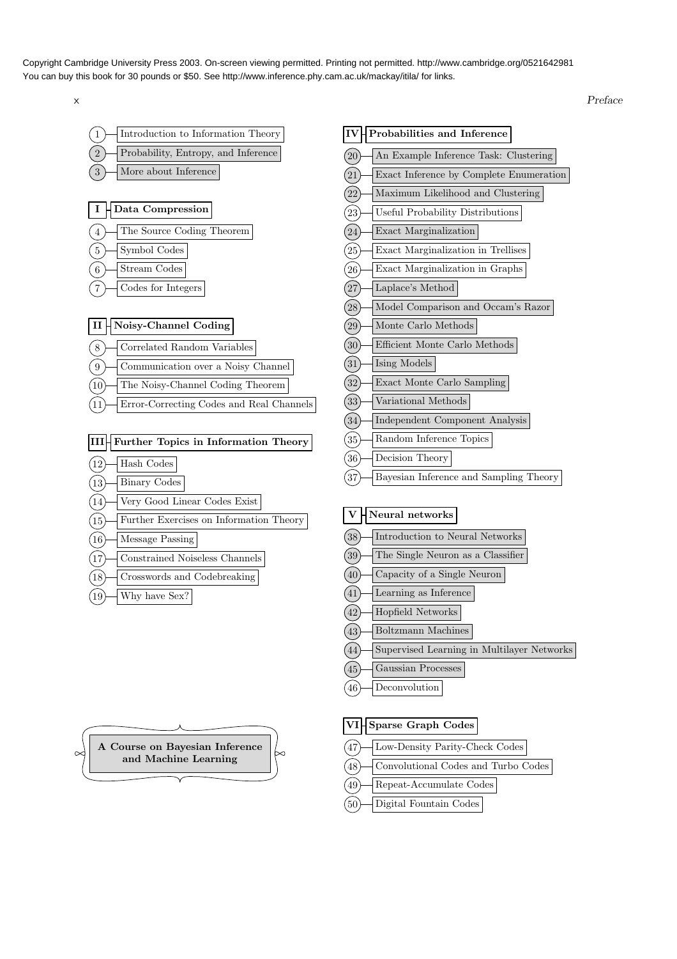





- 43 Boltzmann Machines
- 44 Supervised Learning in Multilayer Networks
- Gaussian Processes
- Deconvolution

### VIH Sparse Graph Codes

- Low-Density Parity-Check Codes
- Convolutional Codes and Turbo Codes
- Repeat-Accumulate Codes
- Digital Fountain Codes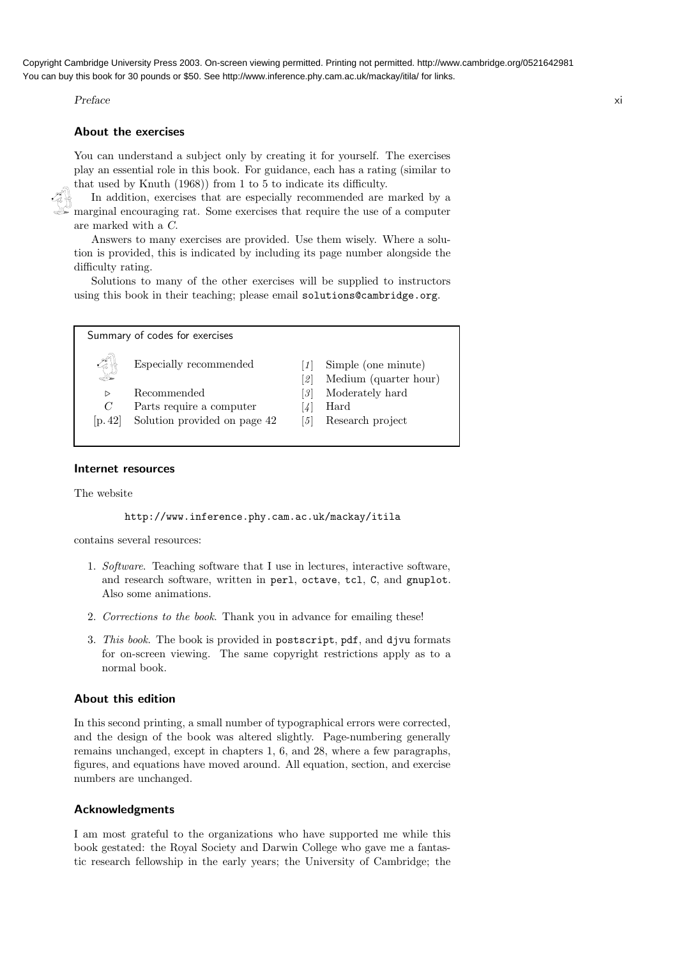Preface xi

#### About the exercises

You can understand a subject only by creating it for yourself. The exercises play an essential role in this book. For guidance, each has a rating (similar to that used by Knuth (1968)) from 1 to 5 to indicate its difficulty.

In addition, exercises that are especially recommended are marked by a marginal encouraging rat. Some exercises that require the use of a computer are marked with a C.

Answers to many exercises are provided. Use them wisely. Where a solution is provided, this is indicated by including its page number alongside the difficulty rating.

Solutions to many of the other exercises will be supplied to instructors using this book in their teaching; please email solutions@cambridge.org.

Summary of codes for exercises

Especially recommended

- . Recommended
- C Parts require a computer
- [p. 42] Solution provided on page 42
- [1] Simple (one minute)
- [2] Medium (quarter hour)
- [3] Moderately hard
- $[4]$  Hard
- [5] Research project

#### Internet resources

The website

http://www.inference.phy.cam.ac.uk/mackay/itila

contains several resources:

- 1. Software. Teaching software that I use in lectures, interactive software, and research software, written in perl, octave, tcl, C, and gnuplot. Also some animations.
- 2. Corrections to the book. Thank you in advance for emailing these!
- 3. This book. The book is provided in postscript, pdf, and djvu formats for on-screen viewing. The same copyright restrictions apply as to a normal book.

#### About this edition

In this second printing, a small number of typographical errors were corrected, and the design of the book was altered slightly. Page-numbering generally remains unchanged, except in chapters 1, 6, and 28, where a few paragraphs, figures, and equations have moved around. All equation, section, and exercise numbers are unchanged.

#### Acknowledgments

I am most grateful to the organizations who have supported me while this book gestated: the Royal Society and Darwin College who gave me a fantastic research fellowship in the early years; the University of Cambridge; the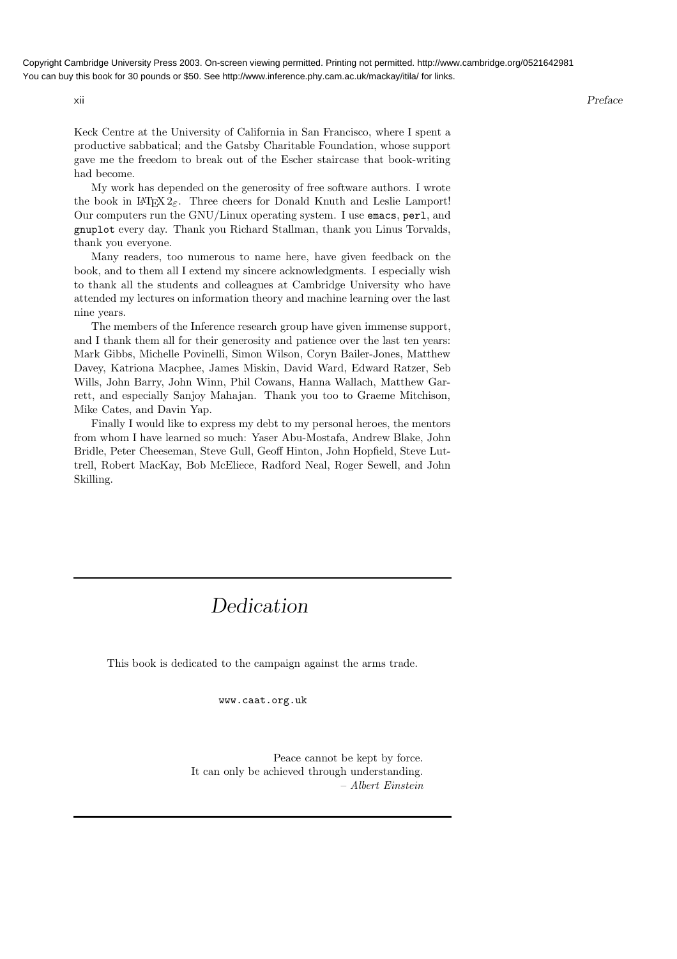xii Preface

Keck Centre at the University of California in San Francisco, where I spent a productive sabbatical; and the Gatsby Charitable Foundation, whose support gave me the freedom to break out of the Escher staircase that book-writing had become.

My work has depended on the generosity of free software authors. I wrote the book in  $\text{LATEX } 2\varepsilon$ . Three cheers for Donald Knuth and Leslie Lamport! Our computers run the GNU/Linux operating system. I use emacs, perl, and gnuplot every day. Thank you Richard Stallman, thank you Linus Torvalds, thank you everyone.

Many readers, too numerous to name here, have given feedback on the book, and to them all I extend my sincere acknowledgments. I especially wish to thank all the students and colleagues at Cambridge University who have attended my lectures on information theory and machine learning over the last nine years.

The members of the Inference research group have given immense support, and I thank them all for their generosity and patience over the last ten years: Mark Gibbs, Michelle Povinelli, Simon Wilson, Coryn Bailer-Jones, Matthew Davey, Katriona Macphee, James Miskin, David Ward, Edward Ratzer, Seb Wills, John Barry, John Winn, Phil Cowans, Hanna Wallach, Matthew Garrett, and especially Sanjoy Mahajan. Thank you too to Graeme Mitchison, Mike Cates, and Davin Yap.

Finally I would like to express my debt to my personal heroes, the mentors from whom I have learned so much: Yaser Abu-Mostafa, Andrew Blake, John Bridle, Peter Cheeseman, Steve Gull, Geoff Hinton, John Hopfield, Steve Luttrell, Robert MacKay, Bob McEliece, Radford Neal, Roger Sewell, and John Skilling.

## Dedication

This book is dedicated to the campaign against the arms trade.

www.caat.org.uk

Peace cannot be kept by force. It can only be achieved through understanding. – Albert Einstein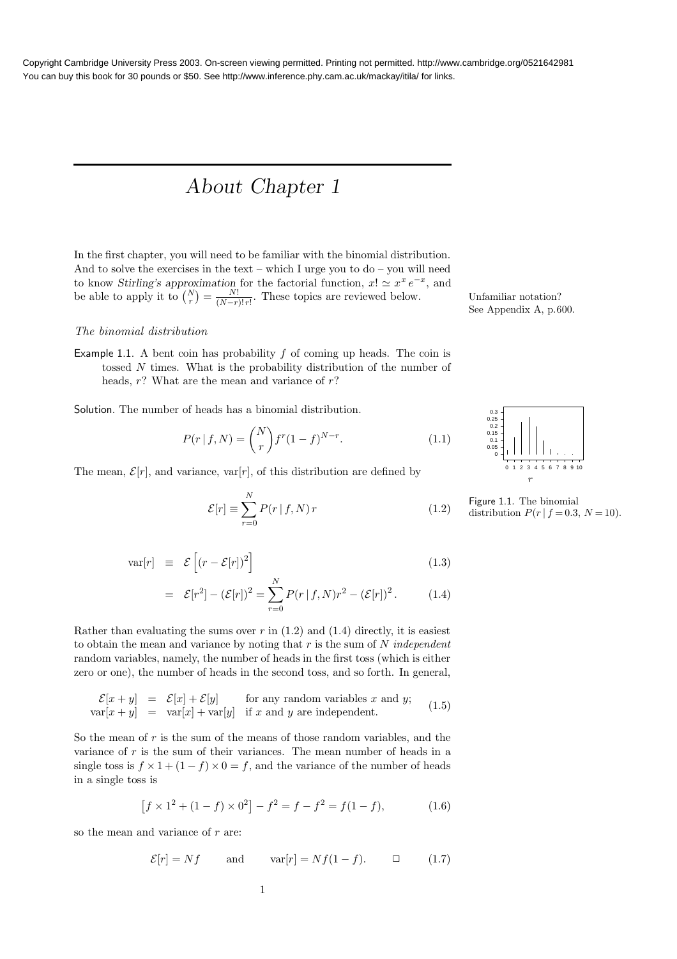# About Chapter 1

In the first chapter, you will need to be familiar with the binomial distribution. And to solve the exercises in the text – which I urge you to  $do - you will need$ to know Stirling's approximation for the factorial function,  $x! \simeq x^x e^{-x}$ , and be able to apply it to  $\binom{N}{r} = \frac{N!}{(N-r)!}$  $\frac{N!}{(N-r)! \cdot r!}$ . These topics are reviewed below. Unfamiliar notation?

The binomial distribution

Example 1.1. A bent coin has probability  $f$  of coming up heads. The coin is tossed N times. What is the probability distribution of the number of heads,  $r$ ? What are the mean and variance of  $r$ ?

Solution. The number of heads has a binomial distribution.

$$
P(r | f, N) = {N \choose r} f^r (1 - f)^{N - r}.
$$
 (1.1)

The mean,  $\mathcal{E}[r]$ , and variance, var $[r]$ , of this distribution are defined by

$$
\mathcal{E}[r] \equiv \sum_{r=0}^{N} P(r | f, N) r \tag{1.2}
$$

$$
\text{var}[r] \equiv \mathcal{E}\left[ (r - \mathcal{E}[r])^2 \right] \tag{1.3}
$$

$$
= \mathcal{E}[r^2] - (\mathcal{E}[r])^2 = \sum_{r=0}^{N} P(r | f, N)r^2 - (\mathcal{E}[r])^2.
$$
 (1.4)

Rather than evaluating the sums over  $r$  in  $(1.2)$  and  $(1.4)$  directly, it is easiest to obtain the mean and variance by noting that  $r$  is the sum of  $N$  independent random variables, namely, the number of heads in the first toss (which is either zero or one), the number of heads in the second toss, and so forth. In general,

$$
\mathcal{E}[x+y] = \mathcal{E}[x] + \mathcal{E}[y]
$$
 for any random variables x and y;  
 
$$
\text{var}[x+y] = \text{var}[x] + \text{var}[y]
$$
 if x and y are independent. (1.5)

So the mean of r is the sum of the means of those random variables, and the variance of  $r$  is the sum of their variances. The mean number of heads in a single toss is  $f \times 1 + (1 - f) \times 0 = f$ , and the variance of the number of heads in a single toss is

$$
[f \times 1^2 + (1 - f) \times 0^2] - f^2 = f - f^2 = f(1 - f), \tag{1.6}
$$

so the mean and variance of  $r$  are:

$$
\mathcal{E}[r] = Nf \qquad \text{and} \qquad \text{var}[r] = Nf(1-f). \qquad \Box \qquad (1.7)
$$

See Appendix A, p.600.



Figure 1.1. The binomial distribution  $P(r | f = 0.3, N = 10)$ .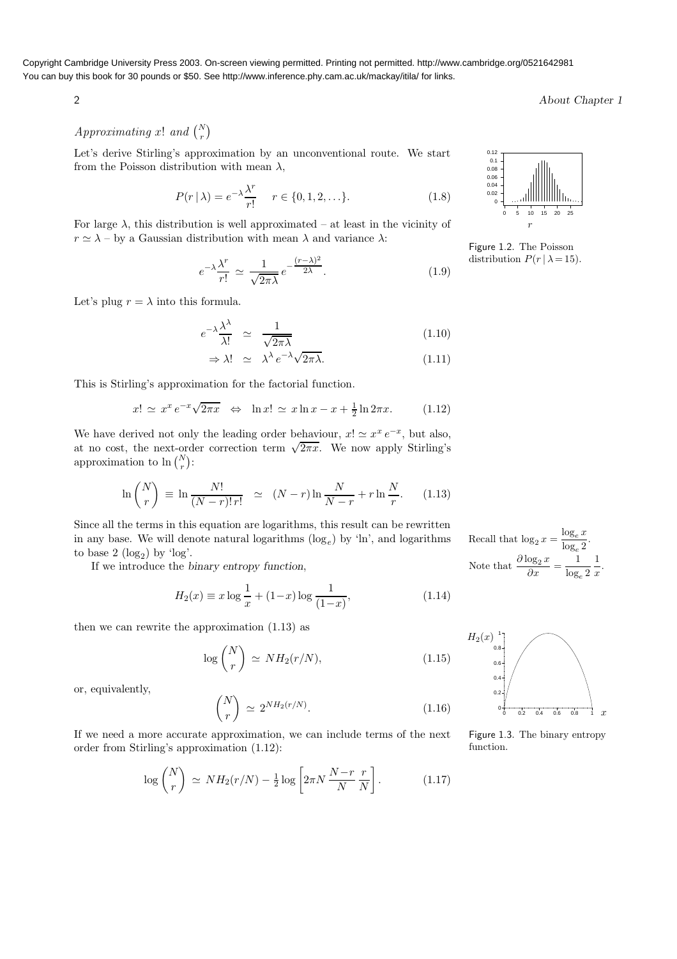2 About Chapter 1

## Approximating x! and  $\binom{N}{r}$

Let's derive Stirling's approximation by an unconventional route. We start from the Poisson distribution with mean  $\lambda$ ,

$$
P(r | \lambda) = e^{-\lambda} \frac{\lambda^r}{r!} \quad r \in \{0, 1, 2, \ldots\}.
$$
 (1.8)

For large  $\lambda$ , this distribution is well approximated – at least in the vicinity of  $r \simeq \lambda$  – by a Gaussian distribution with mean  $\lambda$  and variance  $\lambda$ :

$$
e^{-\lambda} \frac{\lambda^r}{r!} \simeq \frac{1}{\sqrt{2\pi\lambda}} e^{-\frac{(r-\lambda)^2}{2\lambda}}.
$$
 (1.9)

Let's plug  $r = \lambda$  into this formula.

$$
e^{-\lambda} \frac{\lambda^{\lambda}}{\lambda!} \simeq \frac{1}{\sqrt{2\pi\lambda}} \tag{1.10}
$$

$$
\Rightarrow \lambda! \simeq \lambda^{\lambda} e^{-\lambda} \sqrt{2\pi\lambda}.
$$
 (1.11)

This is Stirling's approximation for the factorial function.

$$
x! \simeq x^x e^{-x} \sqrt{2\pi x} \quad \Leftrightarrow \quad \ln x! \simeq x \ln x - x + \frac{1}{2} \ln 2\pi x. \tag{1.12}
$$

We have derived not only the leading order behaviour,  $x! \approx x^x e^{-x}$ , but also, at no cost, the next-order correction term  $\sqrt{2\pi x}$ . We now apply Stirling's approximation to  $\ln {N \choose r}$ :

$$
\ln\binom{N}{r} \equiv \ln\frac{N!}{(N-r)! \, r!} \quad \simeq \quad (N-r)\ln\frac{N}{N-r} + r\ln\frac{N}{r}.\tag{1.13}
$$

Since all the terms in this equation are logarithms, this result can be rewritten in any base. We will denote natural logarithms  $(\log_e)$  by 'ln', and logarithms Recall that  $\log_2 x =$ to base  $2 \pmod{2}$  by 'log'.

If we introduce the binary entropy function,

$$
H_2(x) \equiv x \log \frac{1}{x} + (1-x) \log \frac{1}{(1-x)},
$$
\n(1.14)

then we can rewrite the approximation (1.13) as

$$
\log\binom{N}{r} \simeq NH_2(r/N),\tag{1.15}
$$

or, equivalently,

$$
\binom{N}{r} \simeq 2^{NH_2(r/N)}.\tag{1.16}
$$

If we need a more accurate approximation, we can include terms of the next order from Stirling's approximation (1.12):

$$
\log\binom{N}{r} \simeq NH_2(r/N) - \frac{1}{2}\log\left[2\pi N\,\frac{N-r}{N}\,\frac{r}{N}\right].\tag{1.17}
$$



Note that  $\frac{\partial \log_2 x}{\partial x} = \frac{1}{\log_6 x}$ 

 $log_e x$  $\frac{\log_e x}{\log_e 2}$ .

 $log_e 2$ 

1  $\frac{1}{x}$ .





Figure 1.2. The Poisson distribution  $P(r | \lambda = 15)$ .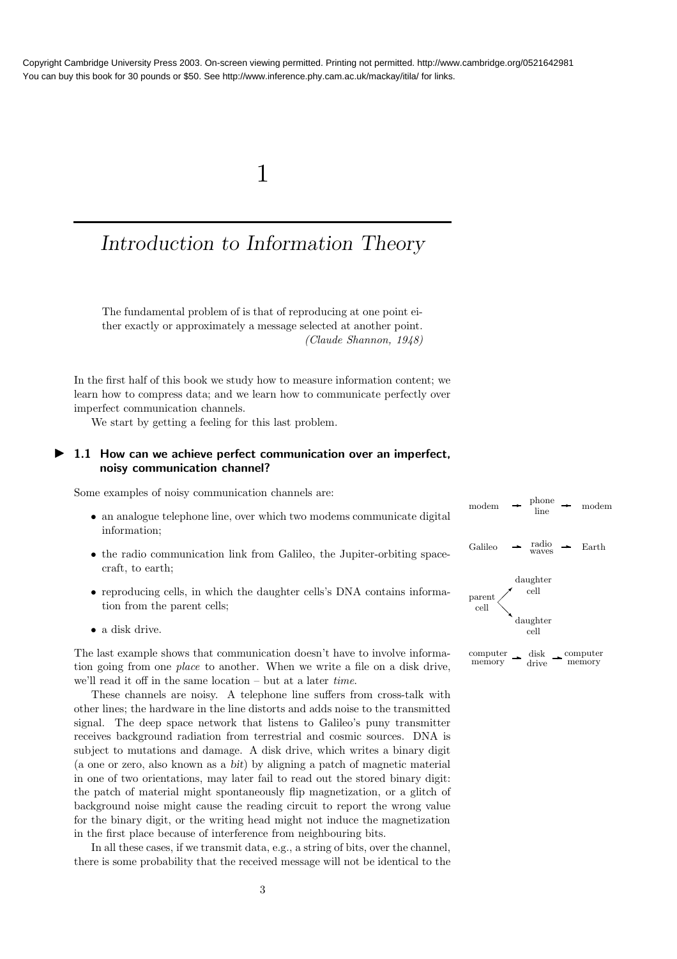1

## Introduction to Information Theory

The fundamental problem of is that of reproducing at one point either exactly or approximately a message selected at another point. (Claude Shannon, 1948)

In the first half of this book we study how to measure information content; we learn how to compress data; and we learn how to communicate perfectly over imperfect communication channels.

We start by getting a feeling for this last problem.

#### $\blacktriangleright$  1.1 How can we achieve perfect communication over an imperfect, noisy communication channel?

Some examples of noisy communication channels are:

- an analogue telephone line, over which two modems communicate digital information;
- the radio communication link from Galileo, the Jupiter-orbiting spacecraft, to earth;
- reproducing cells, in which the daughter cells's DNA contains information from the parent cells;
- a disk drive.

The last example shows that communication doesn't have to involve information going from one place to another. When we write a file on a disk drive, we'll read it off in the same location – but at a later *time*.

These channels are noisy. A telephone line suffers from cross-talk with other lines; the hardware in the line distorts and adds noise to the transmitted signal. The deep space network that listens to Galileo's puny transmitter receives background radiation from terrestrial and cosmic sources. DNA is subject to mutations and damage. A disk drive, which writes a binary digit (a one or zero, also known as a bit) by aligning a patch of magnetic material in one of two orientations, may later fail to read out the stored binary digit: the patch of material might spontaneously flip magnetization, or a glitch of background noise might cause the reading circuit to report the wrong value for the binary digit, or the writing head might not induce the magnetization in the first place because of interference from neighbouring bits.

In all these cases, if we transmit data, e.g., a string of bits, over the channel, there is some probability that the received message will not be identical to the

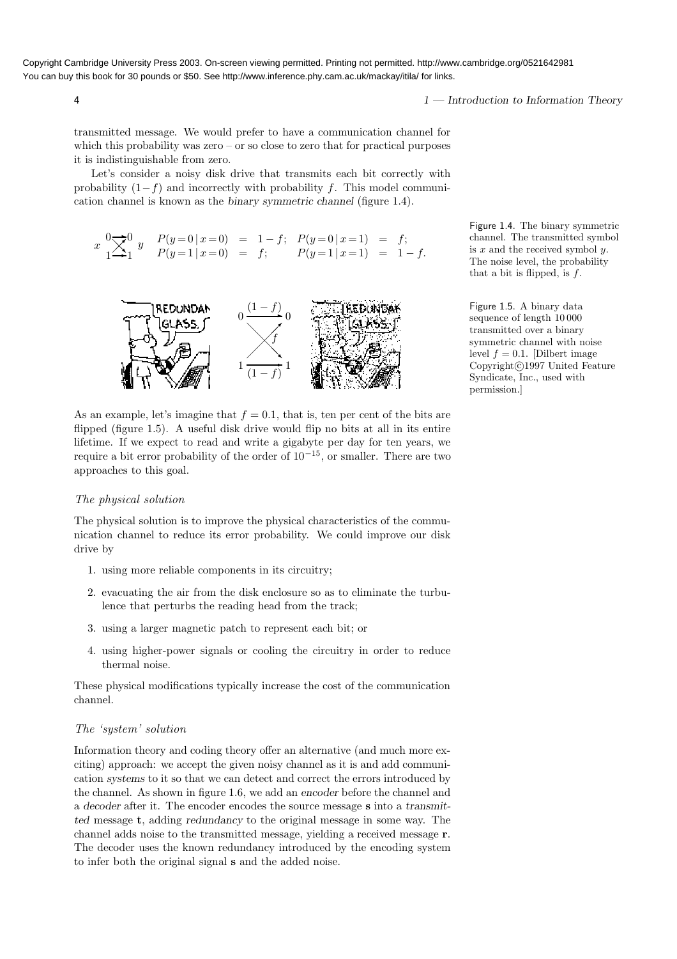4 1 — Introduction to Information Theory

transmitted message. We would prefer to have a communication channel for which this probability was zero – or so close to zero that for practical purposes it is indistinguishable from zero.

Let's consider a noisy disk drive that transmits each bit correctly with probability  $(1-f)$  and incorrectly with probability f. This model communication channel is known as the binary symmetric channel (figure 1.4).

$$
x \frac{0}{1} \sum_{1}^{0} y
$$
  $P(y=0 | x=0) = 1-f;$   $P(y=0 | x=1) = f;$   
\n $P(y=1 | x=0) = f;$   $P(y=1 | x=1) = 1-f.$ 



As an example, let's imagine that  $f = 0.1$ , that is, ten per cent of the bits are flipped (figure 1.5). A useful disk drive would flip no bits at all in its entire lifetime. If we expect to read and write a gigabyte per day for ten years, we require a bit error probability of the order of 10−<sup>15</sup> , or smaller. There are two approaches to this goal.

#### The physical solution

The physical solution is to improve the physical characteristics of the communication channel to reduce its error probability. We could improve our disk drive by

- 1. using more reliable components in its circuitry;
- 2. evacuating the air from the disk enclosure so as to eliminate the turbulence that perturbs the reading head from the track;
- 3. using a larger magnetic patch to represent each bit; or
- 4. using higher-power signals or cooling the circuitry in order to reduce thermal noise.

These physical modifications typically increase the cost of the communication channel.

#### The 'system' solution

Information theory and coding theory offer an alternative (and much more exciting) approach: we accept the given noisy channel as it is and add communication systems to it so that we can detect and correct the errors introduced by the channel. As shown in figure 1.6, we add an encoder before the channel and a decoder after it. The encoder encodes the source message s into a transmitted message t, adding redundancy to the original message in some way. The channel adds noise to the transmitted message, yielding a received message r. The decoder uses the known redundancy introduced by the encoding system to infer both the original signal s and the added noise.

Figure 1.4. The binary symmetric channel. The transmitted symbol is  $x$  and the received symbol  $y$ . The noise level, the probability that a bit is flipped, is  $f$ .

Figure 1.5. A binary data sequence of length 10 000 transmitted over a binary symmetric channel with noise level  $f = 0.1$ . [Dilbert image Copyright©1997 United Feature Syndicate, Inc., used with permission.]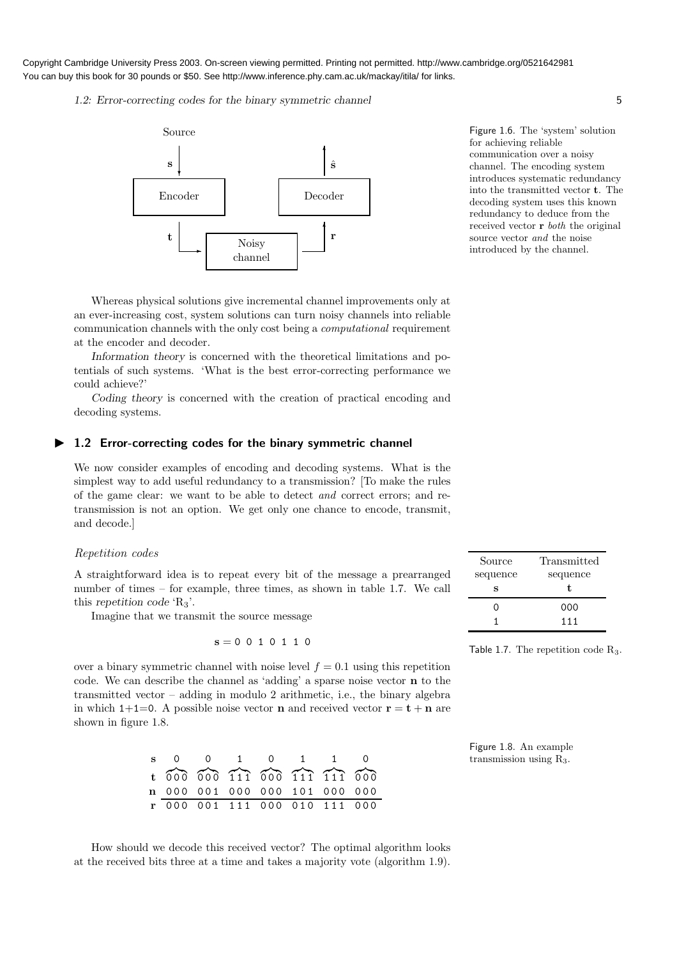1.2: Error-correcting codes for the binary symmetric channel 5



Figure 1.6. The 'system' solution for achieving reliable communication over a noisy channel. The encoding system introduces systematic redundancy into the transmitted vector t. The decoding system uses this known redundancy to deduce from the received vector r both the original source vector and the noise introduced by the channel.

Whereas physical solutions give incremental channel improvements only at an ever-increasing cost, system solutions can turn noisy channels into reliable communication channels with the only cost being a computational requirement at the encoder and decoder.

Information theory is concerned with the theoretical limitations and potentials of such systems. 'What is the best error-correcting performance we could achieve?'

Coding theory is concerned with the creation of practical encoding and decoding systems.

#### ▶ 1.2 Error-correcting codes for the binary symmetric channel

We now consider examples of encoding and decoding systems. What is the simplest way to add useful redundancy to a transmission? [To make the rules of the game clear: we want to be able to detect and correct errors; and retransmission is not an option. We get only one chance to encode, transmit, and decode.]

#### Repetition codes

A straightforward idea is to repeat every bit of the message a prearranged number of times – for example, three times, as shown in table 1.7. We call this repetition code ' $R_3$ '.

Imagine that we transmit the source message

$$
s = 0 \t0 \t1 \t0 \t1 \t1 \t0
$$

over a binary symmetric channel with noise level  $f = 0.1$  using this repetition code. We can describe the channel as 'adding' a sparse noise vector n to the transmitted vector – adding in modulo 2 arithmetic, i.e., the binary algebra in which  $1+1=0$ . A possible noise vector **n** and received vector  $\mathbf{r} = \mathbf{t} + \mathbf{n}$  are shown in figure 1.8.

|  |  |  | s 0 0 1 0 1 1 0                 |  |
|--|--|--|---------------------------------|--|
|  |  |  | $t$ 000 000 111 000 111 111 000 |  |
|  |  |  | 1000 001 000 000 101 000 000    |  |
|  |  |  | r 000 001 111 000 010 111 000   |  |

Source Transmitted sequence sequence s t 0 000 1 111

Table 1.7. The repetition code R3.

Figure 1.8. An example transmission using  $R_3$ .

How should we decode this received vector? The optimal algorithm looks at the received bits three at a time and takes a majority vote (algorithm 1.9).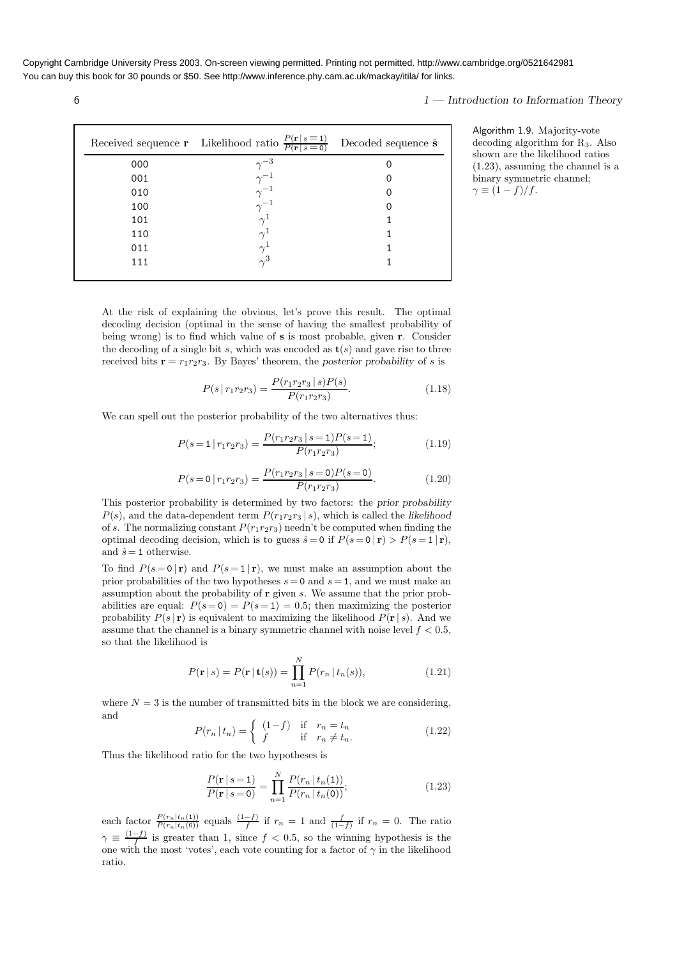|  | v |  |  |
|--|---|--|--|
|  |   |  |  |

|     | Received sequence <b>r</b> Likelihood ratio $\frac{P(r \mid s=1)}{P(r \mid s=0)}$ | Decoded sequence $\hat{\mathbf{s}}$ |
|-----|-----------------------------------------------------------------------------------|-------------------------------------|
| 000 | $\gamma^{-3}$                                                                     |                                     |
| 001 |                                                                                   |                                     |
| 010 |                                                                                   |                                     |
| 100 |                                                                                   |                                     |
| 101 |                                                                                   |                                     |
| 110 | $\sim$                                                                            |                                     |
| 011 | $\sim$                                                                            |                                     |
| 111 | $\sim^3$                                                                          |                                     |
|     |                                                                                   |                                     |

 $1 - Introduction to Information Theory$ 

Algorithm 1.9. Majority-vote decoding algorithm for R3. Also shown are the likelihood ratios (1.23), assuming the channel is a binary symmetric channel;  $\gamma \equiv (1-f)/f.$ 

At the risk of explaining the obvious, let's prove this result. The optimal decoding decision (optimal in the sense of having the smallest probability of being wrong) is to find which value of s is most probable, given r. Consider the decoding of a single bit s, which was encoded as  $t(s)$  and gave rise to three received bits  $\mathbf{r} = r_1 r_2 r_3$ . By Bayes' theorem, the posterior probability of s is

$$
P(s \mid r_1 r_2 r_3) = \frac{P(r_1 r_2 r_3 \mid s) P(s)}{P(r_1 r_2 r_3)}.
$$
\n(1.18)

We can spell out the posterior probability of the two alternatives thus:

$$
P(s=1 | r_1 r_2 r_3) = \frac{P(r_1 r_2 r_3 | s=1) P(s=1)}{P(r_1 r_2 r_3)};
$$
\n(1.19)

$$
P(s=0 | r_1 r_2 r_3) = \frac{P(r_1 r_2 r_3 | s=0)P(s=0)}{P(r_1 r_2 r_3)}.
$$
\n(1.20)

This posterior probability is determined by two factors: the prior probability  $P(s)$ , and the data-dependent term  $P(r_1r_2r_3 | s)$ , which is called the likelihood of s. The normalizing constant  $P(r_1r_2r_3)$  needn't be computed when finding the optimal decoding decision, which is to guess  $\hat{s} = 0$  if  $P(s = 0 | \mathbf{r}) > P(s = 1 | \mathbf{r})$ , and  $\hat{s} = 1$  otherwise.

To find  $P(s=0|\mathbf{r})$  and  $P(s=1|\mathbf{r})$ , we must make an assumption about the prior probabilities of the two hypotheses  $s = 0$  and  $s = 1$ , and we must make an assumption about the probability of r given s. We assume that the prior probabilities are equal:  $P(s=0) = P(s=1) = 0.5$ ; then maximizing the posterior probability  $P(s|\mathbf{r})$  is equivalent to maximizing the likelihood  $P(\mathbf{r} | s)$ . And we assume that the channel is a binary symmetric channel with noise level  $f < 0.5$ , so that the likelihood is

$$
P(\mathbf{r} \mid s) = P(\mathbf{r} \mid \mathbf{t}(s)) = \prod_{n=1}^{N} P(r_n \mid t_n(s)),
$$
\n(1.21)

where  $N = 3$  is the number of transmitted bits in the block we are considering, and

$$
P(r_n | t_n) = \begin{cases} (1-f) & \text{if } r_n = t_n \\ f & \text{if } r_n \neq t_n. \end{cases}
$$
 (1.22)

Thus the likelihood ratio for the two hypotheses is

$$
\frac{P(\mathbf{r} \mid s=1)}{P(\mathbf{r} \mid s=0)} = \prod_{n=1}^{N} \frac{P(r_n \mid t_n(1))}{P(r_n \mid t_n(0))};
$$
\n(1.23)

each factor  $\frac{P(r_n|t_n(1))}{P(r_n|t_n(0))}$  equals  $\frac{(1-f)}{f}$  if  $r_n = 1$  and  $\frac{f}{(1-f)}$  if  $r_n = 0$ . The ratio  $\gamma \equiv \frac{(1-f)}{f}$  is greater than 1, since  $f < 0.5$ , so the winning hypothesis is the one with the most 'votes', each vote counting for a factor of  $\gamma$  in the likelihood ratio.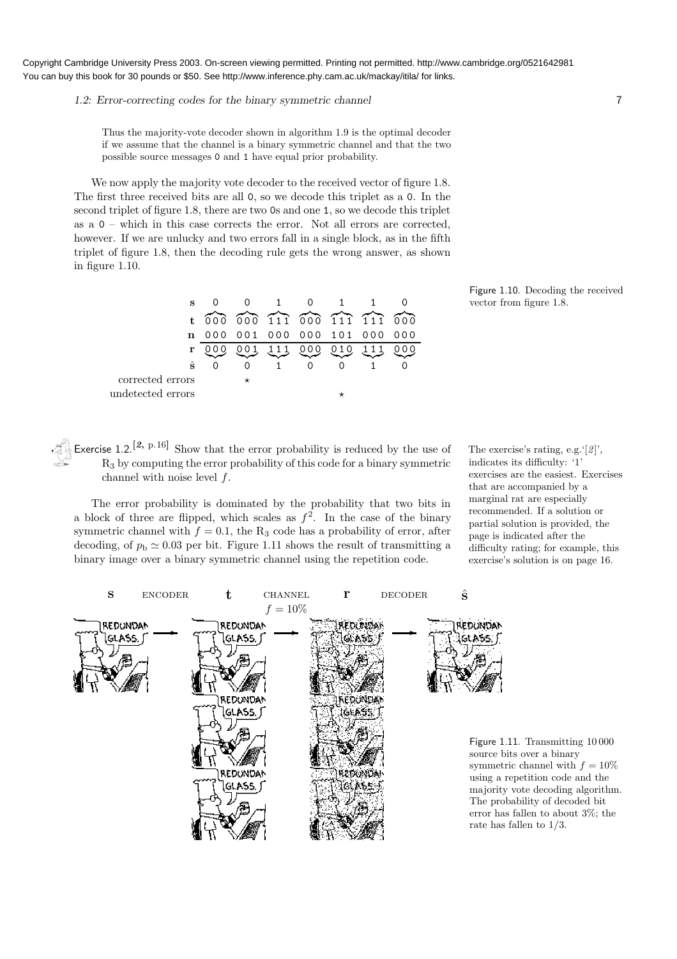1.2: Error-correcting codes for the binary symmetric channel 7

Thus the majority-vote decoder shown in algorithm 1.9 is the optimal decoder if we assume that the channel is a binary symmetric channel and that the two possible source messages 0 and 1 have equal prior probability.

We now apply the majority vote decoder to the received vector of figure 1.8. The first three received bits are all 0, so we decode this triplet as a 0. In the second triplet of figure 1.8, there are two 0s and one 1, so we decode this triplet as a 0 – which in this case corrects the error. Not all errors are corrected, however. If we are unlucky and two errors fall in a single block, as in the fifth triplet of figure 1.8, then the decoding rule gets the wrong answer, as shown in figure 1.10.

| s                 |          |     |                                                             |          |     |                  |
|-------------------|----------|-----|-------------------------------------------------------------|----------|-----|------------------|
| t.                |          |     | $\begin{array}{ccc} 0 & 0 & 0 \\ 0 & 0 & 1 & 1 \end{array}$ |          |     | $\overline{000}$ |
| n                 |          | 000 | 000                                                         | 101      | 000 | 000              |
| r                 |          |     | 000                                                         |          |     |                  |
| ŝ                 |          |     |                                                             |          |     |                  |
| corrected errors  | $^\star$ |     |                                                             |          |     |                  |
| undetected errors |          |     |                                                             | $^\star$ |     |                  |
|                   |          |     |                                                             |          |     |                  |

Figure 1.10. Decoding the received vector from figure 1.8.

Exercise 1.2.<sup>[2, p.16]</sup> Show that the error probability is reduced by the use of The exercise's rating, e.g.'[2]', R<sup>3</sup> by computing the error probability of this code for a binary symmetric channel with noise level f.

The error probability is dominated by the probability that two bits in a block of three are flipped, which scales as  $f^2$ . In the case of the binary symmetric channel with  $f = 0.1$ , the R<sub>3</sub> code has a probability of error, after decoding, of  $p_b \simeq 0.03$  per bit. Figure 1.11 shows the result of transmitting a binary image over a binary symmetric channel using the repetition code.

indicates its difficulty: '1 exercises are the easiest. Exercises that are accompanied by a marginal rat are especially recommended. If a solution or partial solution is provided, the page is indicated after the difficulty rating; for example, this exercise's solution is on page 16.



Figure 1.11. Transmitting 10 000 source bits over a binary symmetric channel with  $f = 10\%$ using a repetition code and the majority vote decoding algorithm. The probability of decoded bit error has fallen to about 3%; the rate has fallen to 1/3.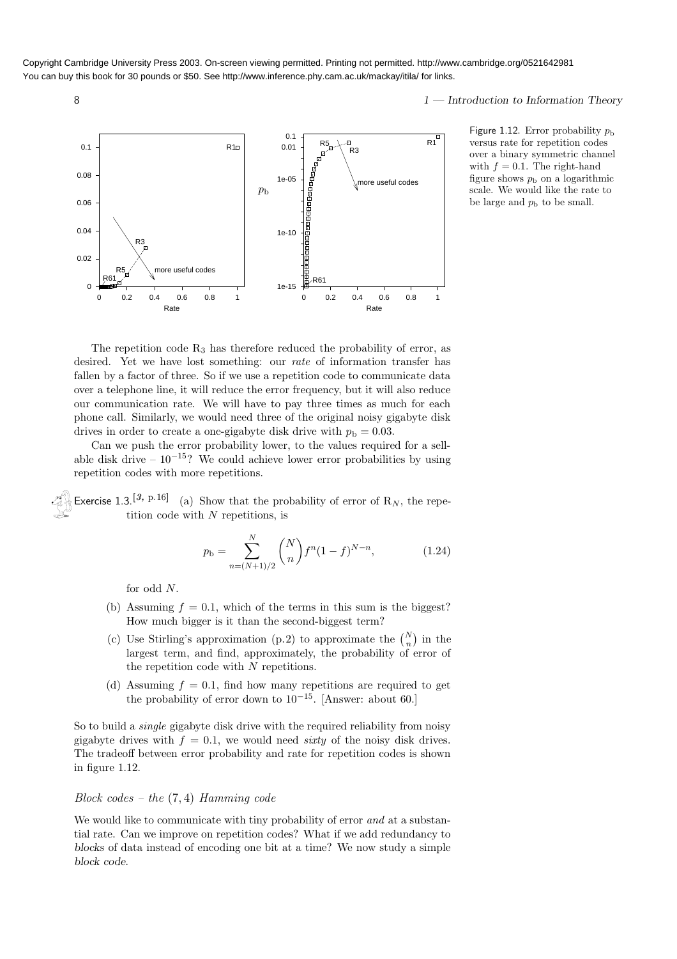

8 1 — Introduction to Information Theory

Figure 1.12. Error probability  $p<sub>b</sub>$ versus rate for repetition codes over a binary symmetric channel with  $f = 0.1$ . The right-hand figure shows  $p<sub>b</sub>$  on a logarithmic scale. We would like the rate to be large and  $p<sub>b</sub>$  to be small.

The repetition code  $R_3$  has therefore reduced the probability of error, as desired. Yet we have lost something: our *rate* of information transfer has fallen by a factor of three. So if we use a repetition code to communicate data over a telephone line, it will reduce the error frequency, but it will also reduce our communication rate. We will have to pay three times as much for each phone call. Similarly, we would need three of the original noisy gigabyte disk drives in order to create a one-gigabyte disk drive with  $p_b = 0.03$ .

Can we push the error probability lower, to the values required for a sellable disk drive –  $10^{-15}$ ? We could achieve lower error probabilities by using repetition codes with more repetitions.

Exercise 1.3.<sup>[3, p.16]</sup> (a) Show that the probability of error of  $R_N$ , the repetition code with  $N$  repetitions, is

$$
p_{\rm b} = \sum_{n=(N+1)/2}^{N} \binom{N}{n} f^n (1-f)^{N-n},\tag{1.24}
$$

for odd N.

- (b) Assuming  $f = 0.1$ , which of the terms in this sum is the biggest? How much bigger is it than the second-biggest term?
- (c) Use Stirling's approximation (p.2) to approximate the  $\binom{N}{n}$  in the largest term, and find, approximately, the probability of error of the repetition code with  $N$  repetitions.
- (d) Assuming  $f = 0.1$ , find how many repetitions are required to get the probability of error down to  $10^{-15}$ . [Answer: about 60.]

So to build a single gigabyte disk drive with the required reliability from noisy gigabyte drives with  $f = 0.1$ , we would need *sixty* of the noisy disk drives. The tradeoff between error probability and rate for repetition codes is shown in figure 1.12.

#### Block codes – the  $(7, 4)$  Hamming code

We would like to communicate with tiny probability of error and at a substantial rate. Can we improve on repetition codes? What if we add redundancy to blocks of data instead of encoding one bit at a time? We now study a simple block code.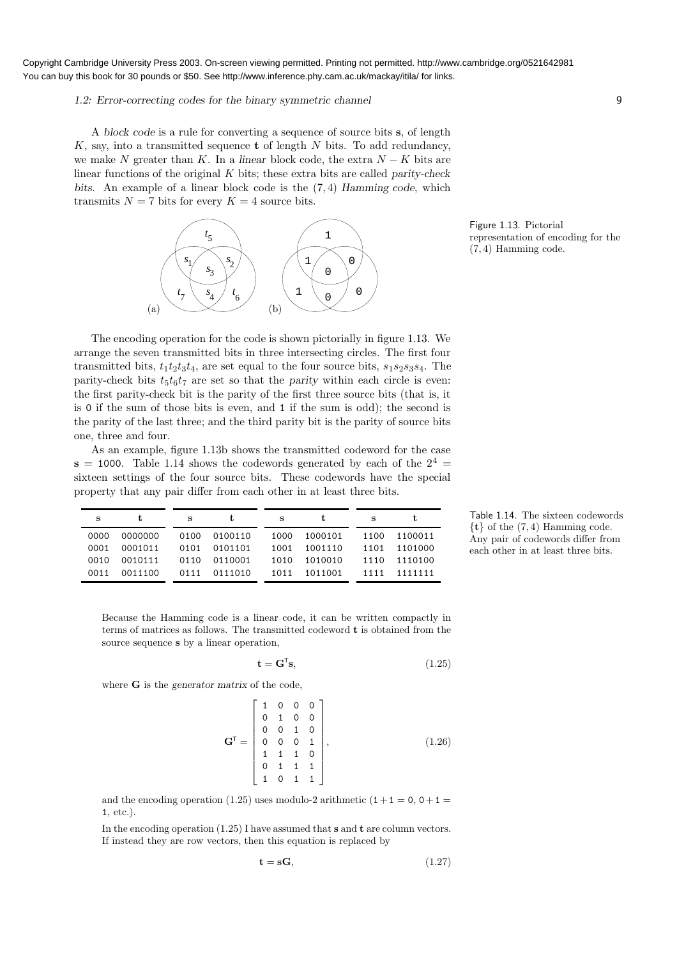#### 1.2: Error-correcting codes for the binary symmetric channel 9

A block code is a rule for converting a sequence of source bits s, of length  $K$ , say, into a transmitted sequence **t** of length  $N$  bits. To add redundancy, we make N greater than K. In a linear block code, the extra  $N - K$  bits are linear functions of the original  $K$  bits; these extra bits are called parity-check bits. An example of a linear block code is the  $(7, 4)$  Hamming code, which transmits  $N = 7$  bits for every  $K = 4$  source bits.



Figure 1.13. Pictorial representation of encoding for the (7, 4) Hamming code.

The encoding operation for the code is shown pictorially in figure 1.13. We arrange the seven transmitted bits in three intersecting circles. The first four transmitted bits,  $t_1t_2t_3t_4$ , are set equal to the four source bits,  $s_1s_2s_3s_4$ . The parity-check bits  $t_5t_6t_7$  are set so that the parity within each circle is even: the first parity-check bit is the parity of the first three source bits (that is, it is 0 if the sum of those bits is even, and 1 if the sum is odd); the second is the parity of the last three; and the third parity bit is the parity of source bits one, three and four.

As an example, figure 1.13b shows the transmitted codeword for the case  $s = 1000$ . Table 1.14 shows the codewords generated by each of the  $2^4 =$ sixteen settings of the four source bits. These codewords have the special property that any pair differ from each other in at least three bits.

| s    |         | s    | t.           | s    | t.      | s    |              |
|------|---------|------|--------------|------|---------|------|--------------|
| 0000 | 0000000 |      | 0100 0100110 | 1000 | 1000101 | 1100 | 1100011      |
| 0001 | 0001011 | 0101 | 0101101      | 1001 | 1001110 |      | 1101 1101000 |
| 0010 | 0010111 | 0110 | 0110001      | 1010 | 1010010 | 1110 | 1110100      |
| 0011 | 0011100 | 0111 | 0111010      | 1011 | 1011001 | 1111 | 1111111      |

Table 1.14. The sixteen codewords  $\{t\}$  of the  $(7, 4)$  Hamming code. Any pair of codewords differ from each other in at least three bits.

Because the Hamming code is a linear code, it can be written compactly in terms of matrices as follows. The transmitted codeword t is obtained from the source sequence s by a linear operation,

$$
\mathbf{t} = \mathbf{G}^{\mathsf{T}} \mathbf{s},\tag{1.25}
$$

where **G** is the generator matrix of the code,

$$
\mathbf{G}^{\mathsf{T}} = \begin{bmatrix} 1 & 0 & 0 & 0 \\ 0 & 1 & 0 & 0 \\ 0 & 0 & 1 & 0 \\ 0 & 0 & 0 & 1 \\ 1 & 1 & 1 & 0 \\ 0 & 1 & 1 & 1 \\ 1 & 0 & 1 & 1 \end{bmatrix},
$$
(1.26)

and the encoding operation (1.25) uses modulo-2 arithmetic ( $1+1=0, 0+1=$ 1, etc.).

In the encoding operation  $(1.25)$  I have assumed that s and t are column vectors. If instead they are row vectors, then this equation is replaced by

$$
\mathbf{t} = \mathbf{s}\mathbf{G},\tag{1.27}
$$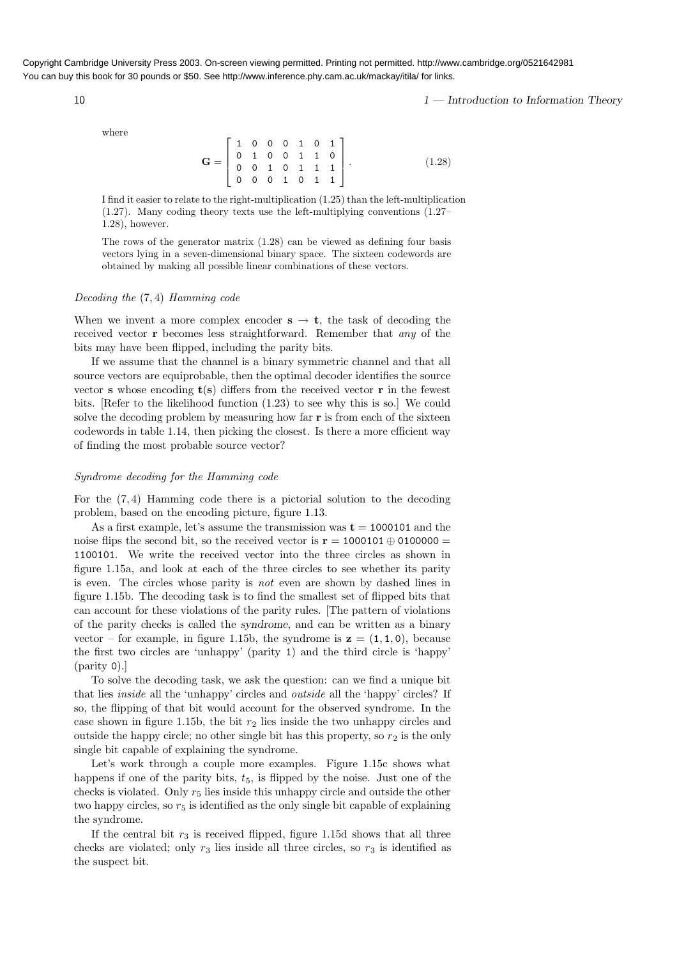$1 - Introduction to Information Theory$ 

where

$$
\mathbf{G} = \left[ \begin{array}{cccccc} 1 & 0 & 0 & 0 & 1 & 0 & 1 \\ 0 & 1 & 0 & 0 & 1 & 1 & 0 \\ 0 & 0 & 1 & 0 & 1 & 1 & 1 \\ 0 & 0 & 0 & 1 & 0 & 1 & 1 \end{array} \right].
$$
 (1.28)

I find it easier to relate to the right-multiplication (1.25) than the left-multiplication (1.27). Many coding theory texts use the left-multiplying conventions (1.27– 1.28), however.

The rows of the generator matrix (1.28) can be viewed as defining four basis vectors lying in a seven-dimensional binary space. The sixteen codewords are obtained by making all possible linear combinations of these vectors.

#### Decoding the (7, 4) Hamming code

When we invent a more complex encoder  $s \to t$ , the task of decoding the received vector r becomes less straightforward. Remember that any of the bits may have been flipped, including the parity bits.

If we assume that the channel is a binary symmetric channel and that all source vectors are equiprobable, then the optimal decoder identifies the source vector s whose encoding  $t(s)$  differs from the received vector r in the fewest bits. [Refer to the likelihood function (1.23) to see why this is so.] We could solve the decoding problem by measuring how far  $\bf{r}$  is from each of the sixteen codewords in table 1.14, then picking the closest. Is there a more efficient way of finding the most probable source vector?

#### Syndrome decoding for the Hamming code

For the  $(7, 4)$  Hamming code there is a pictorial solution to the decoding problem, based on the encoding picture, figure 1.13.

As a first example, let's assume the transmission was  $t = 1000101$  and the noise flips the second bit, so the received vector is  $\mathbf{r} = 1000101 \oplus 0100000 =$ 1100101. We write the received vector into the three circles as shown in figure 1.15a, and look at each of the three circles to see whether its parity is even. The circles whose parity is not even are shown by dashed lines in figure 1.15b. The decoding task is to find the smallest set of flipped bits that can account for these violations of the parity rules. [The pattern of violations of the parity checks is called the syndrome, and can be written as a binary vector – for example, in figure 1.15b, the syndrome is  $z = (1, 1, 0)$ , because the first two circles are 'unhappy' (parity 1) and the third circle is 'happy' (parity 0).]

To solve the decoding task, we ask the question: can we find a unique bit that lies inside all the 'unhappy' circles and outside all the 'happy' circles? If so, the flipping of that bit would account for the observed syndrome. In the case shown in figure 1.15b, the bit  $r_2$  lies inside the two unhappy circles and outside the happy circle; no other single bit has this property, so  $r_2$  is the only single bit capable of explaining the syndrome.

Let's work through a couple more examples. Figure 1.15c shows what happens if one of the parity bits,  $t_5$ , is flipped by the noise. Just one of the checks is violated. Only  $r<sub>5</sub>$  lies inside this unhappy circle and outside the other two happy circles, so  $r<sub>5</sub>$  is identified as the only single bit capable of explaining the syndrome.

If the central bit  $r_3$  is received flipped, figure 1.15d shows that all three checks are violated; only  $r_3$  lies inside all three circles, so  $r_3$  is identified as the suspect bit.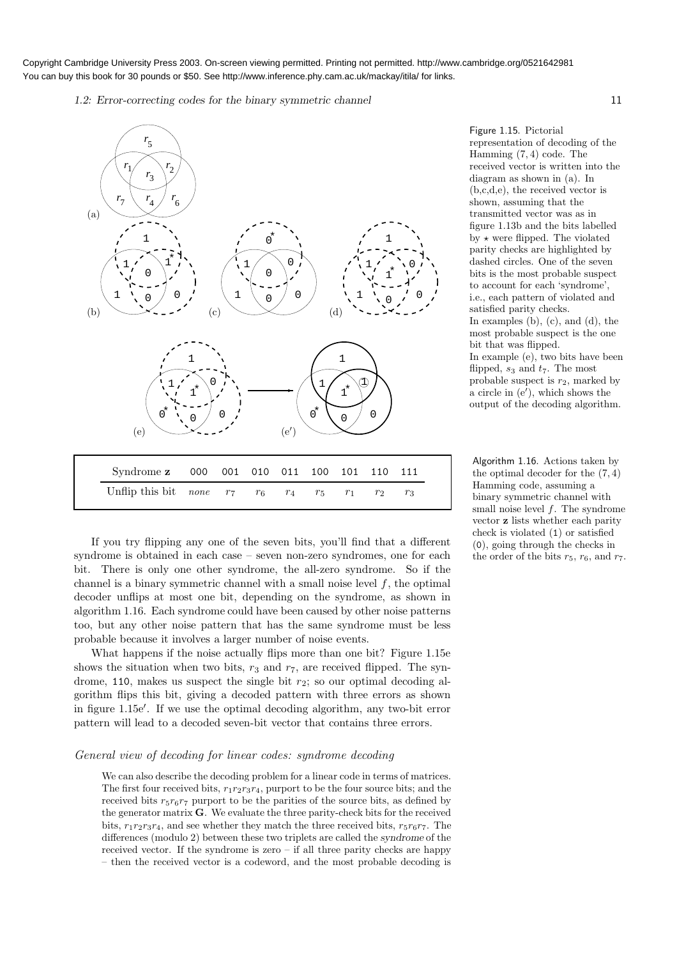1.2: Error-correcting codes for the binary symmetric channel 11



Figure 1.15. Pictorial representation of decoding of the Hamming (7, 4) code. The received vector is written into the diagram as shown in (a). In (b,c,d,e), the received vector is shown, assuming that the transmitted vector was as in figure 1.13b and the bits labelled by  $\star$  were flipped. The violated parity checks are highlighted by dashed circles. One of the seven bits is the most probable suspect to account for each 'syndrome', i.e., each pattern of violated and satisfied parity checks. In examples (b), (c), and (d), the most probable suspect is the one bit that was flipped. In example (e), two bits have been flipped,  $s_3$  and  $t_7.$  The most probable suspect is  $r_2$ , marked by a circle in  $(e')$ , which shows the output of the decoding algorithm.

Algorithm 1.16. Actions taken by the optimal decoder for the (7, 4) Hamming code, assuming a binary symmetric channel with small noise level f. The syndrome vector z lists whether each parity check is violated (1) or satisfied (0), going through the checks in the order of the bits  $r_5$ ,  $r_6$ , and  $r_7$ .

If you try flipping any one of the seven bits, you'll find that a different syndrome is obtained in each case – seven non-zero syndromes, one for each bit. There is only one other syndrome, the all-zero syndrome. So if the channel is a binary symmetric channel with a small noise level  $f$ , the optimal decoder unflips at most one bit, depending on the syndrome, as shown in algorithm 1.16. Each syndrome could have been caused by other noise patterns too, but any other noise pattern that has the same syndrome must be less probable because it involves a larger number of noise events.

What happens if the noise actually flips more than one bit? Figure 1.15e shows the situation when two bits,  $r_3$  and  $r_7$ , are received flipped. The syndrome, 110, makes us suspect the single bit  $r_2$ ; so our optimal decoding algorithm flips this bit, giving a decoded pattern with three errors as shown in figure 1.15e'. If we use the optimal decoding algorithm, any two-bit error pattern will lead to a decoded seven-bit vector that contains three errors.

#### General view of decoding for linear codes: syndrome decoding

We can also describe the decoding problem for a linear code in terms of matrices. The first four received bits,  $r_1r_2r_3r_4$ , purport to be the four source bits; and the received bits  $r_5r_6r_7$  purport to be the parities of the source bits, as defined by the generator matrix G. We evaluate the three parity-check bits for the received bits,  $r_1r_2r_3r_4$ , and see whether they match the three received bits,  $r_5r_6r_7$ . The differences (modulo 2) between these two triplets are called the syndrome of the received vector. If the syndrome is zero – if all three parity checks are happy – then the received vector is a codeword, and the most probable decoding is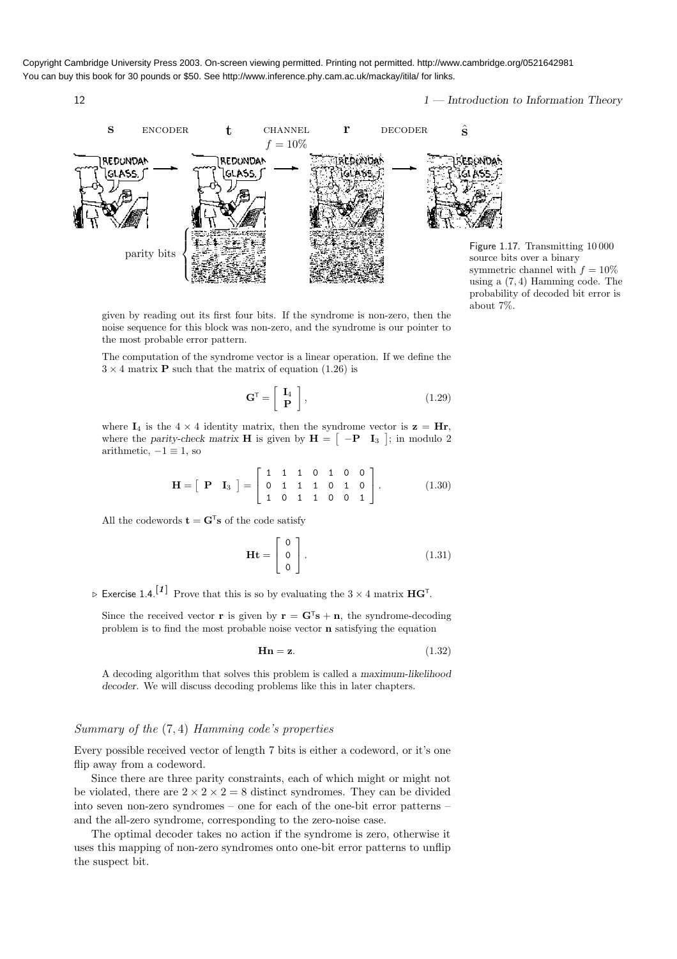12 1 — Introduction to Information Theory



Figure 1.17. Transmitting 10 000 source bits over a binary symmetric channel with  $f = 10\%$ using a (7, 4) Hamming code. The probability of decoded bit error is about 7%.

given by reading out its first four bits. If the syndrome is non-zero, then the noise sequence for this block was non-zero, and the syndrome is our pointer to the most probable error pattern.

The computation of the syndrome vector is a linear operation. If we define the  $3 \times 4$  matrix **P** such that the matrix of equation (1.26) is

$$
\mathbf{G}^{\mathsf{T}} = \left[ \begin{array}{c} \mathbf{I}_4 \\ \mathbf{P} \end{array} \right],\tag{1.29}
$$

where  $I_4$  is the  $4 \times 4$  identity matrix, then the syndrome vector is  $z = Hr$ , where the parity-check matrix **H** is given by  $H = \begin{bmatrix} -P & I_3 \end{bmatrix}$ ; in modulo 2 arithmetic,  $-1 \equiv 1$ , so

$$
\mathbf{H} = \begin{bmatrix} \mathbf{P} & \mathbf{I}_3 \end{bmatrix} = \begin{bmatrix} 1 & 1 & 1 & 0 & 1 & 0 & 0 \\ 0 & 1 & 1 & 1 & 0 & 1 & 0 \\ 1 & 0 & 1 & 1 & 0 & 0 & 1 \end{bmatrix} . \tag{1.30}
$$

All the codewords  $\mathbf{t} = \mathbf{G}^T \mathbf{s}$  of the code satisfy

$$
\mathbf{Ht} = \begin{bmatrix} 0 \\ 0 \\ 0 \end{bmatrix} . \tag{1.31}
$$

 $\triangleright$  Exercise 1.4.<sup>[1]</sup> Prove that this is so by evaluating the 3  $\times$  4 matrix  $\mathbf{H}$ G<sup>T</sup>.

Since the received vector **r** is given by  $\mathbf{r} = \mathbf{G}^T \mathbf{s} + \mathbf{n}$ , the syndrome-decoding problem is to find the most probable noise vector n satisfying the equation

$$
\mathbf{Hn} = \mathbf{z}.\tag{1.32}
$$

A decoding algorithm that solves this problem is called a maximum-likelihood decoder. We will discuss decoding problems like this in later chapters.

#### Summary of the (7, 4) Hamming code's properties

Every possible received vector of length 7 bits is either a codeword, or it's one flip away from a codeword.

Since there are three parity constraints, each of which might or might not be violated, there are  $2 \times 2 \times 2 = 8$  distinct syndromes. They can be divided into seven non-zero syndromes – one for each of the one-bit error patterns – and the all-zero syndrome, corresponding to the zero-noise case.

The optimal decoder takes no action if the syndrome is zero, otherwise it uses this mapping of non-zero syndromes onto one-bit error patterns to unflip the suspect bit.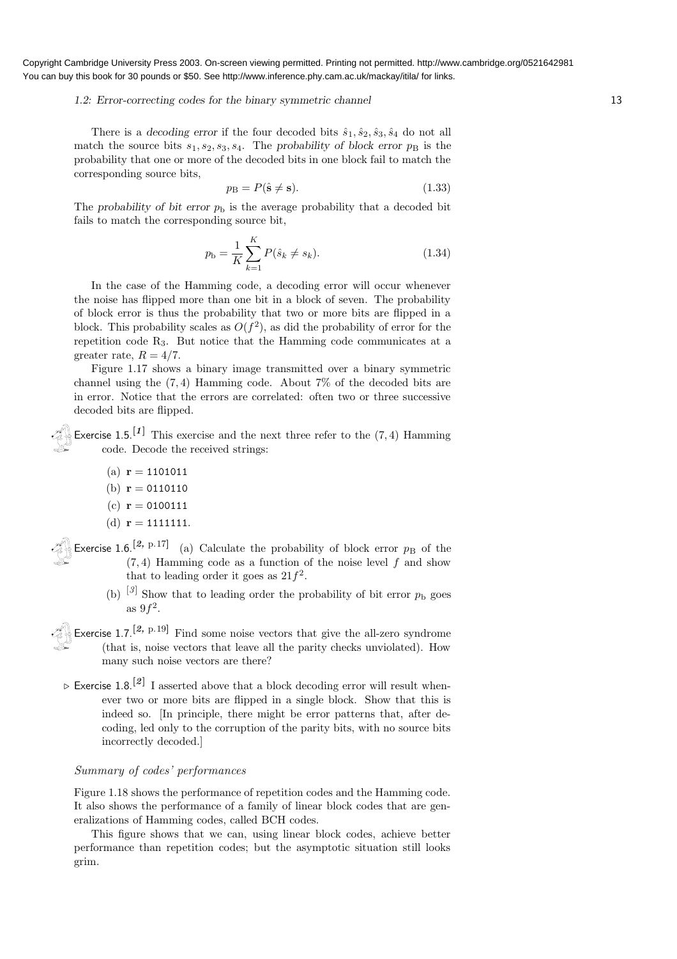#### 1.2: Error-correcting codes for the binary symmetric channel 13

There is a decoding error if the four decoded bits  $\hat{s}_1, \hat{s}_2, \hat{s}_3, \hat{s}_4$  do not all match the source bits  $s_1, s_2, s_3, s_4$ . The probability of block error  $p_B$  is the probability that one or more of the decoded bits in one block fail to match the corresponding source bits,

$$
p_{\rm B} = P(\hat{\mathbf{s}} \neq \mathbf{s}).\tag{1.33}
$$

The probability of bit error  $p<sub>b</sub>$  is the average probability that a decoded bit fails to match the corresponding source bit,

$$
p_{\rm b} = \frac{1}{K} \sum_{k=1}^{K} P(\hat{s}_k \neq s_k). \tag{1.34}
$$

In the case of the Hamming code, a decoding error will occur whenever the noise has flipped more than one bit in a block of seven. The probability of block error is thus the probability that two or more bits are flipped in a block. This probability scales as  $O(f^2)$ , as did the probability of error for the repetition code  $R_3$ . But notice that the Hamming code communicates at a greater rate,  $R = 4/7$ .

Figure 1.17 shows a binary image transmitted over a binary symmetric channel using the  $(7, 4)$  Hamming code. About  $7\%$  of the decoded bits are in error. Notice that the errors are correlated: often two or three successive decoded bits are flipped.

Exercise 1.5.<sup>[1]</sup> This exercise and the next three refer to the  $(7, 4)$  Hamming code. Decode the received strings:

- (a)  $r = 1101011$
- (b)  $r = 0110110$
- (c)  $r = 0100111$
- (d)  $r = 1111111$ .
- Exercise 1.6.<sup>[2, p.17]</sup> (a) Calculate the probability of block error  $p_B$  of the  $(7, 4)$  Hamming code as a function of the noise level f and show that to leading order it goes as  $21f^2$ .
	- (b)  $\left[3\right]$  Show that to leading order the probability of bit error  $p_{\rm b}$  goes as  $9f^2$ .
- $\mathbb{Z}^{\mathbb{Z}}$  Exercise 1.7.<sup>[2, p.19]</sup> Find some noise vectors that give the all-zero syndrome (that is, noise vectors that leave all the parity checks unviolated). How many such noise vectors are there?
	- $\triangleright$  Exercise 1.8.<sup>[2]</sup> I asserted above that a block decoding error will result whenever two or more bits are flipped in a single block. Show that this is indeed so. [In principle, there might be error patterns that, after decoding, led only to the corruption of the parity bits, with no source bits incorrectly decoded.]

#### Summary of codes' performances

Figure 1.18 shows the performance of repetition codes and the Hamming code. It also shows the performance of a family of linear block codes that are generalizations of Hamming codes, called BCH codes.

This figure shows that we can, using linear block codes, achieve better performance than repetition codes; but the asymptotic situation still looks grim.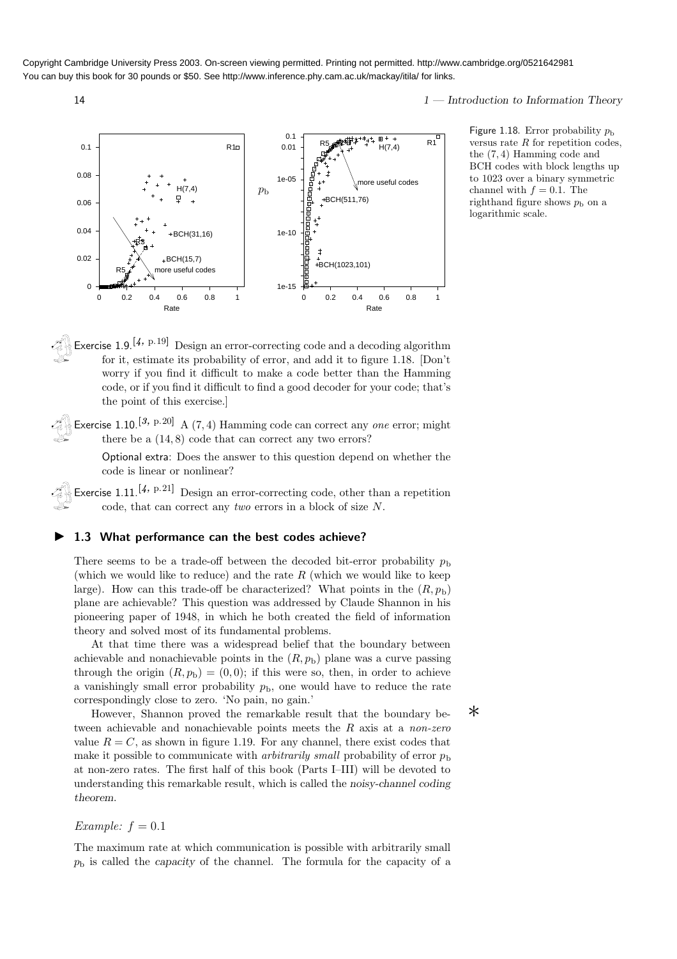> 0.1 0.01

R5

 $+$ BCH $(511,76)$ 

BCH(1023,101)

ź

1e-05

1e-10

1e-15

0 0.2 0.4 0.6 0.8 1 Rate

H(7,4)

 $H + 4$  $+$ + $+$ 

more useful codes



0

0 0.2 0.4 0.6 0.8 1 Rate

R3

H(7,4)

R1

 $p<sub>b</sub>$ 

nore useful codes

 $+$ BCH(15,7)

BCH(31,16)

0.02

0.04

0.06

0.08

0.1

 $1 - Introduction to Information Theory$ 





Exercise 1.10.<sup>[3, p.20]</sup> A (7, 4) Hamming code can correct any *one* error; might there be a  $(14, 8)$  code that can correct any two errors?

Optional extra: Does the answer to this question depend on whether the code is linear or nonlinear?

Exercise 1.11.<sup>[4, p.21]</sup> Design an error-correcting code, other than a repetition code, that can correct any two errors in a block of size N.

#### ▶ 1.3 What performance can the best codes achieve?

There seems to be a trade-off between the decoded bit-error probability  $p<sub>b</sub>$ (which we would like to reduce) and the rate  $R$  (which we would like to keep large). How can this trade-off be characterized? What points in the  $(R, p_b)$ plane are achievable? This question was addressed by Claude Shannon in his pioneering paper of 1948, in which he both created the field of information theory and solved most of its fundamental problems.

At that time there was a widespread belief that the boundary between achievable and nonachievable points in the  $(R, p_b)$  plane was a curve passing through the origin  $(R, p_b) = (0, 0)$ ; if this were so, then, in order to achieve a vanishingly small error probability  $p<sub>b</sub>$ , one would have to reduce the rate correspondingly close to zero. 'No pain, no gain.'

However, Shannon proved the remarkable result that the boundary be-  $*$ tween achievable and nonachievable points meets the  $R$  axis at a non-zero value  $R = C$ , as shown in figure 1.19. For any channel, there exist codes that make it possible to communicate with *arbitrarily small* probability of error  $p<sub>b</sub>$ at non-zero rates. The first half of this book (Parts I–III) will be devoted to understanding this remarkable result, which is called the noisy-channel coding theorem.

#### Example:  $f = 0.1$

The maximum rate at which communication is possible with arbitrarily small  $p<sub>b</sub>$  is called the *capacity* of the channel. The formula for the capacity of a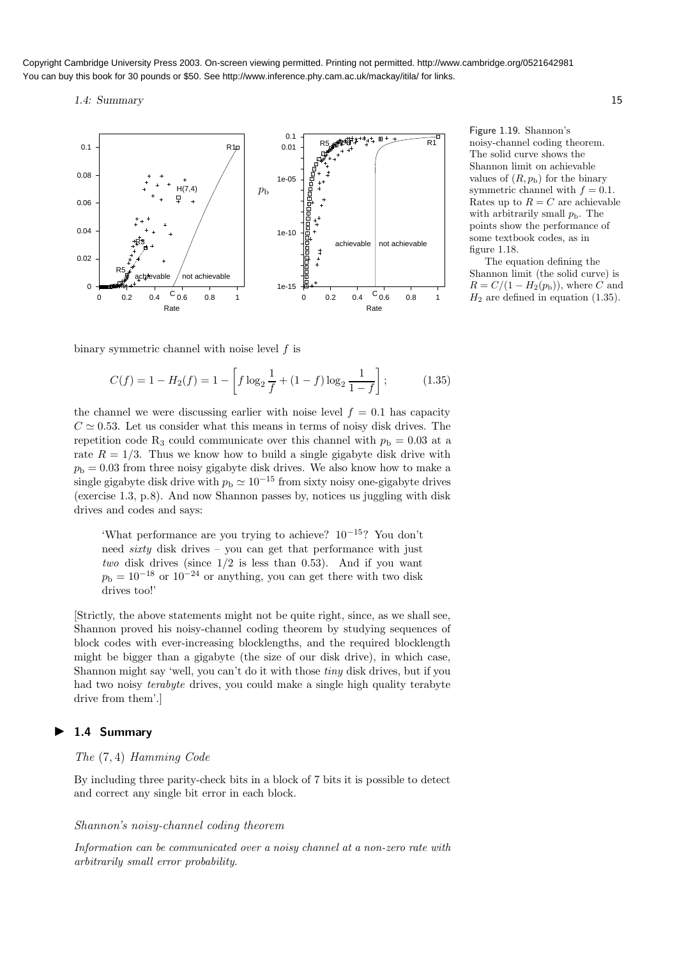1.4: Summary 15



binary symmetric channel with noise level  $f$  is

$$
C(f) = 1 - H_2(f) = 1 - \left[ f \log_2 \frac{1}{f} + (1 - f) \log_2 \frac{1}{1 - f} \right];
$$
 (1.35)

the channel we were discussing earlier with noise level  $f = 0.1$  has capacity  $C \simeq 0.53$ . Let us consider what this means in terms of noisy disk drives. The repetition code R<sub>3</sub> could communicate over this channel with  $p_b = 0.03$  at a rate  $R = 1/3$ . Thus we know how to build a single gigabyte disk drive with  $p<sub>b</sub> = 0.03$  from three noisy gigabyte disk drives. We also know how to make a single gigabyte disk drive with  $p_b \simeq 10^{-15}$  from sixty noisy one-gigabyte drives (exercise 1.3, p.8). And now Shannon passes by, notices us juggling with disk drives and codes and says:

'What performance are you trying to achieve? 10−15? You don't need sixty disk drives – you can get that performance with just two disk drives (since  $1/2$  is less than 0.53). And if you want  $p<sub>b</sub> = 10<sup>-18</sup>$  or 10<sup>-24</sup> or anything, you can get there with two disk drives too!'

[Strictly, the above statements might not be quite right, since, as we shall see, Shannon proved his noisy-channel coding theorem by studying sequences of block codes with ever-increasing blocklengths, and the required blocklength might be bigger than a gigabyte (the size of our disk drive), in which case, Shannon might say 'well, you can't do it with those tiny disk drives, but if you had two noisy terabyte drives, you could make a single high quality terabyte drive from them'.]

#### ▶ 1.4 Summary

#### The (7, 4) Hamming Code

By including three parity-check bits in a block of 7 bits it is possible to detect and correct any single bit error in each block.

#### Shannon's noisy-channel coding theorem

Information can be communicated over a noisy channel at a non-zero rate with arbitrarily small error probability.

Figure 1.19. Shannon's noisy-channel coding theorem. The solid curve shows the Shannon limit on achievable values of  $(R, p_b)$  for the binary symmetric channel with  $f = 0.1$ . Rates up to  $R = C$  are achievable with arbitrarily small  $p<sub>b</sub>$ . The points show the performance of some textbook codes, as in figure 1.18.

The equation defining the Shannon limit (the solid curve) is  $R = C/(1 - H_2(p_b))$ , where C and  $H_2$  are defined in equation (1.35).